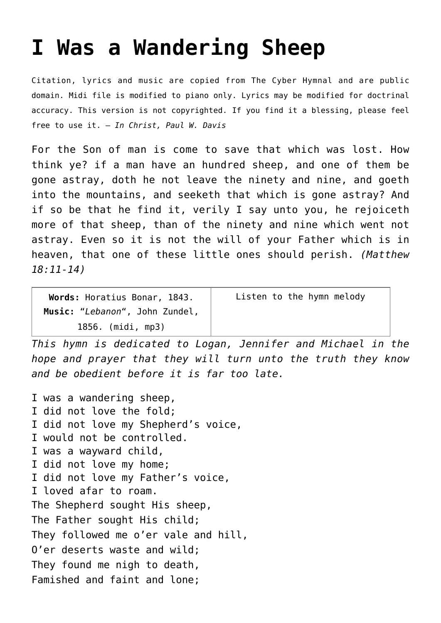## **[I Was a Wandering Sheep](http://reproachofmen.org/hymns-and-music/i-was-a-wandering-sheep/)**

Citation, lyrics and music are copied from [The Cyber Hymnal](http://www.hymntime.com/tch/index.htm) and are public domain. Midi file is modified to piano only. Lyrics may be modified for doctrinal accuracy. This version is not copyrighted. If you find it a blessing, please feel free to use it. — *In Christ, Paul W. Davis*

For the Son of man is come to save that which was lost. How think ye? if a man have an hundred sheep, and one of them be gone astray, doth he not leave the ninety and nine, and goeth into the mountains, and seeketh that which is gone astray? And if so be that he find it, verily I say unto you, he rejoiceth more of that sheep, than of the ninety and nine which went not astray. Even so it is not the will of your Father which is in heaven, that one of these little ones should perish. *(Matthew 18:11-14)*

| Words: Horatius Bonar, 1843.   | Listen to the hymn melody |
|--------------------------------|---------------------------|
| Music: "Lebanon", John Zundel, |                           |
| 1856. (midi, mp3)              |                           |

*This hymn is dedicated to Logan, Jennifer and Michael in the hope and prayer that they will turn unto the truth they know and be obedient before it is far too late.*

I was a wandering sheep, I did not love the fold; I did not love my Shepherd's voice, I would not be controlled. I was a wayward child, I did not love my home; I did not love my Father's voice, I loved afar to roam. The Shepherd sought His sheep, The Father sought His child; They followed me o'er vale and hill, O'er deserts waste and wild; They found me nigh to death, Famished and faint and lone;